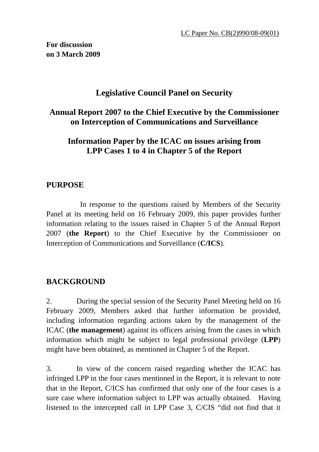**For discussion on 3 March 2009** 

# **Legislative Council Panel on Security**

# **Annual Report 2007 to the Chief Executive by the Commissioner on Interception of Communications and Surveillance**

# **Information Paper by the ICAC on issues arising from LPP Cases 1 to 4 in Chapter 5 of the Report**

## **PURPOSE**

 In response to the questions raised by Members of the Security Panel at its meeting held on 16 February 2009, this paper provides further information relating to the issues raised in Chapter 5 of the Annual Report 2007 (**the Report**) to the Chief Executive by the Commissioner on Interception of Communications and Surveillance (**C/ICS**).

# **BACKGROUND**

2. During the special session of the Security Panel Meeting held on 16 February 2009, Members asked that further information be provided, including information regarding actions taken by the management of the ICAC (**the management**) against its officers arising from the cases in which information which might be subject to legal professional privilege (**LPP**) might have been obtained, as mentioned in Chapter 5 of the Report.

3. In view of the concern raised regarding whether the ICAC has infringed LPP in the four cases mentioned in the Report, it is relevant to note that in the Report, C/ICS has confirmed that only one of the four cases is a sure case where information subject to LPP was actually obtained. Having listened to the intercepted call in LPP Case 3, C/CIS "did not find that it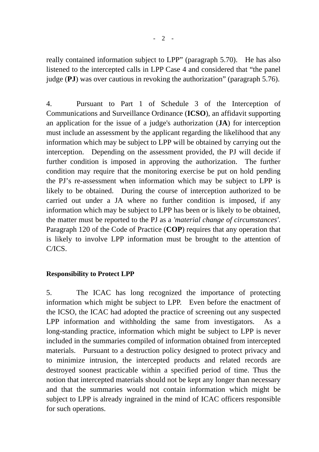really contained information subject to LPP" (paragraph 5.70). He has also listened to the intercepted calls in LPP Case 4 and considered that "the panel judge (**PJ**) was over cautious in revoking the authorization" (paragraph 5.76).

4. Pursuant to Part 1 of Schedule 3 of the Interception of Communications and Surveillance Ordinance (**ICSO**), an affidavit supporting an application for the issue of a judge's authorization (**JA**) for interception must include an assessment by the applicant regarding the likelihood that any information which may be subject to LPP will be obtained by carrying out the interception. Depending on the assessment provided, the PJ will decide if further condition is imposed in approving the authorization. The further condition may require that the monitoring exercise be put on hold pending the PJ's re-assessment when information which may be subject to LPP is likely to be obtained. During the course of interception authorized to be carried out under a JA where no further condition is imposed, if any information which may be subject to LPP has been or is likely to be obtained, the matter must be reported to the PJ as a *'material change of circumstances'*. Paragraph 120 of the Code of Practice (**COP**) requires that any operation that is likely to involve LPP information must be brought to the attention of C/ICS.

#### **Responsibility to Protect LPP**

5. The ICAC has long recognized the importance of protecting information which might be subject to LPP. Even before the enactment of the ICSO, the ICAC had adopted the practice of screening out any suspected LPP information and withholding the same from investigators. As a long-standing practice, information which might be subject to LPP is never included in the summaries compiled of information obtained from intercepted materials. Pursuant to a destruction policy designed to protect privacy and to minimize intrusion, the intercepted products and related records are destroyed soonest practicable within a specified period of time. Thus the notion that intercepted materials should not be kept any longer than necessary and that the summaries would not contain information which might be subject to LPP is already ingrained in the mind of ICAC officers responsible for such operations.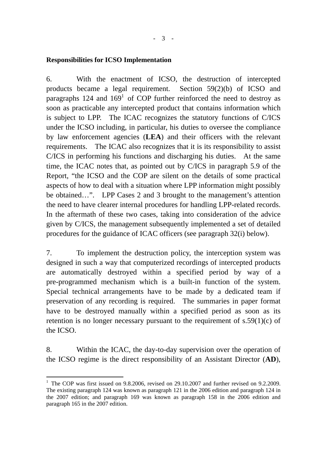#### **Responsibilities for ICSO Implementation**

6. With the enactment of ICSO, the destruction of intercepted products became a legal requirement. Section 59(2)(b) of ICSO and paragraphs 124 and  $169<sup>1</sup>$  of COP further reinforced the need to destroy as soon as practicable any intercepted product that contains information which is subject to LPP. The ICAC recognizes the statutory functions of C/ICS under the ICSO including, in particular, his duties to oversee the compliance by law enforcement agencies (**LEA**) and their officers with the relevant requirements. The ICAC also recognizes that it is its responsibility to assist C/ICS in performing his functions and discharging his duties. At the same time, the ICAC notes that, as pointed out by C/ICS in paragraph 5.9 of the Report, "the ICSO and the COP are silent on the details of some practical aspects of how to deal with a situation where LPP information might possibly be obtained…". LPP Cases 2 and 3 brought to the management's attention the need to have clearer internal procedures for handling LPP-related records. In the aftermath of these two cases, taking into consideration of the advice given by C/ICS, the management subsequently implemented a set of detailed procedures for the guidance of ICAC officers (see paragraph 32(i) below).

7. To implement the destruction policy, the interception system was designed in such a way that computerized recordings of intercepted products are automatically destroyed within a specified period by way of a pre-programmed mechanism which is a built-in function of the system. Special technical arrangements have to be made by a dedicated team if preservation of any recording is required. The summaries in paper format have to be destroyed manually within a specified period as soon as its retention is no longer necessary pursuant to the requirement of  $s.59(1)(c)$  of the ICSO.

8. Within the ICAC, the day-to-day supervision over the operation of the ICSO regime is the direct responsibility of an Assistant Director (**AD**),

 $\overline{a}$ 

<sup>&</sup>lt;sup>1</sup> The COP was first issued on 9.8.2006, revised on 29.10.2007 and further revised on 9.2.2009. The existing paragraph 124 was known as paragraph 121 in the 2006 edition and paragraph 124 in the 2007 edition; and paragraph 169 was known as paragraph 158 in the 2006 edition and paragraph 165 in the 2007 edition.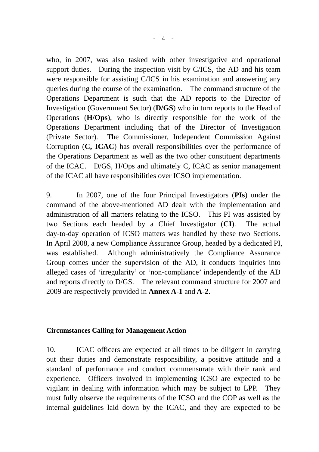who, in 2007, was also tasked with other investigative and operational support duties. During the inspection visit by C/ICS, the AD and his team were responsible for assisting C/ICS in his examination and answering any queries during the course of the examination. The command structure of the Operations Department is such that the AD reports to the Director of Investigation (Government Sector) (**D/GS**) who in turn reports to the Head of Operations (**H/Ops**), who is directly responsible for the work of the Operations Department including that of the Director of Investigation (Private Sector). The Commissioner, Independent Commission Against Corruption (**C, ICAC**) has overall responsibilities over the performance of the Operations Department as well as the two other constituent departments of the ICAC. D/GS, H/Ops and ultimately C, ICAC as senior management of the ICAC all have responsibilities over ICSO implementation.

9. In 2007, one of the four Principal Investigators (**PIs**) under the command of the above-mentioned AD dealt with the implementation and administration of all matters relating to the ICSO. This PI was assisted by two Sections each headed by a Chief Investigator (**CI**). The actual day-to-day operation of ICSO matters was handled by these two Sections. In April 2008, a new Compliance Assurance Group, headed by a dedicated PI, was established. Although administratively the Compliance Assurance Group comes under the supervision of the AD, it conducts inquiries into alleged cases of 'irregularity' or 'non-compliance' independently of the AD and reports directly to D/GS. The relevant command structure for 2007 and 2009 are respectively provided in **Annex A-1** and **A-2**.

#### **Circumstances Calling for Management Action**

10. ICAC officers are expected at all times to be diligent in carrying out their duties and demonstrate responsibility, a positive attitude and a standard of performance and conduct commensurate with their rank and experience. Officers involved in implementing ICSO are expected to be vigilant in dealing with information which may be subject to LPP. They must fully observe the requirements of the ICSO and the COP as well as the internal guidelines laid down by the ICAC, and they are expected to be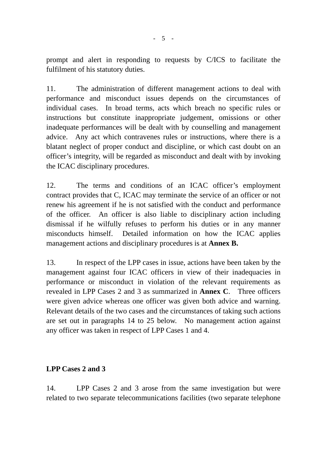prompt and alert in responding to requests by C/ICS to facilitate the fulfilment of his statutory duties.

11. The administration of different management actions to deal with performance and misconduct issues depends on the circumstances of individual cases. In broad terms, acts which breach no specific rules or instructions but constitute inappropriate judgement, omissions or other inadequate performances will be dealt with by counselling and management advice. Any act which contravenes rules or instructions, where there is a blatant neglect of proper conduct and discipline, or which cast doubt on an officer's integrity, will be regarded as misconduct and dealt with by invoking the ICAC disciplinary procedures.

12. The terms and conditions of an ICAC officer's employment contract provides that C, ICAC may terminate the service of an officer or not renew his agreement if he is not satisfied with the conduct and performance of the officer. An officer is also liable to disciplinary action including dismissal if he wilfully refuses to perform his duties or in any manner misconducts himself. Detailed information on how the ICAC applies management actions and disciplinary procedures is at **Annex B.**

13. In respect of the LPP cases in issue, actions have been taken by the management against four ICAC officers in view of their inadequacies in performance or misconduct in violation of the relevant requirements as revealed in LPP Cases 2 and 3 as summarized in **Annex C**. Three officers were given advice whereas one officer was given both advice and warning. Relevant details of the two cases and the circumstances of taking such actions are set out in paragraphs 14 to 25 below. No management action against any officer was taken in respect of LPP Cases 1 and 4.

#### **LPP Cases 2 and 3**

14. LPP Cases 2 and 3 arose from the same investigation but were related to two separate telecommunications facilities (two separate telephone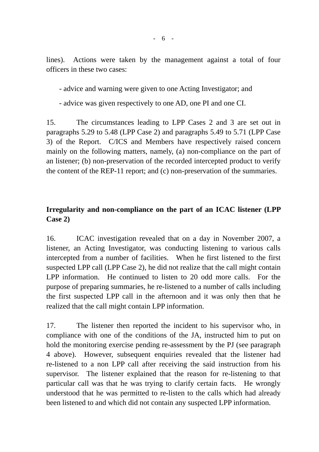lines). Actions were taken by the management against a total of four officers in these two cases:

- advice and warning were given to one Acting Investigator; and

- advice was given respectively to one AD, one PI and one CI.

15. The circumstances leading to LPP Cases 2 and 3 are set out in paragraphs 5.29 to 5.48 (LPP Case 2) and paragraphs 5.49 to 5.71 (LPP Case 3) of the Report. C/ICS and Members have respectively raised concern mainly on the following matters, namely, (a) non-compliance on the part of an listener; (b) non-preservation of the recorded intercepted product to verify the content of the REP-11 report; and (c) non-preservation of the summaries.

# **Irregularity and non-compliance on the part of an ICAC listener (LPP Case 2)**

16. ICAC investigation revealed that on a day in November 2007, a listener, an Acting Investigator, was conducting listening to various calls intercepted from a number of facilities. When he first listened to the first suspected LPP call (LPP Case 2), he did not realize that the call might contain LPP information. He continued to listen to 20 odd more calls. For the purpose of preparing summaries, he re-listened to a number of calls including the first suspected LPP call in the afternoon and it was only then that he realized that the call might contain LPP information.

17. The listener then reported the incident to his supervisor who, in compliance with one of the conditions of the JA, instructed him to put on hold the monitoring exercise pending re-assessment by the PJ (see paragraph 4 above). However, subsequent enquiries revealed that the listener had re-listened to a non LPP call after receiving the said instruction from his supervisor. The listener explained that the reason for re-listening to that particular call was that he was trying to clarify certain facts. He wrongly understood that he was permitted to re-listen to the calls which had already been listened to and which did not contain any suspected LPP information.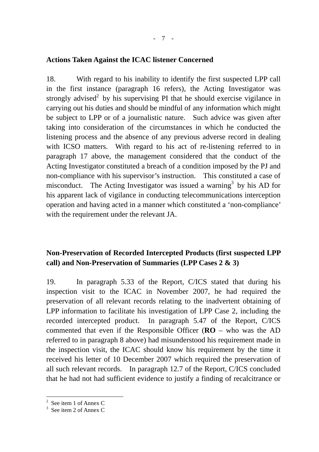#### **Actions Taken Against the ICAC listener Concerned**

18. With regard to his inability to identify the first suspected LPP call in the first instance (paragraph 16 refers), the Acting Investigator was strongly advised<sup>2</sup> by his supervising PI that he should exercise vigilance in carrying out his duties and should be mindful of any information which might be subject to LPP or of a journalistic nature. Such advice was given after taking into consideration of the circumstances in which he conducted the listening process and the absence of any previous adverse record in dealing with ICSO matters. With regard to his act of re-listening referred to in paragraph 17 above, the management considered that the conduct of the Acting Investigator constituted a breach of a condition imposed by the PJ and non-compliance with his supervisor's instruction. This constituted a case of misconduct. The Acting Investigator was issued a warning<sup>3</sup> by his AD for his apparent lack of vigilance in conducting telecommunications interception operation and having acted in a manner which constituted a 'non-compliance' with the requirement under the relevant JA.

## **Non-Preservation of Recorded Intercepted Products (first suspected LPP call) and Non-Preservation of Summaries (LPP Cases 2 & 3)**

19. In paragraph 5.33 of the Report, C/ICS stated that during his inspection visit to the ICAC in November 2007, he had required the preservation of all relevant records relating to the inadvertent obtaining of LPP information to facilitate his investigation of LPP Case 2, including the recorded intercepted product. In paragraph 5.47 of the Report, C/ICS commented that even if the Responsible Officer (**RO** – who was the AD referred to in paragraph 8 above) had misunderstood his requirement made in the inspection visit, the ICAC should know his requirement by the time it received his letter of 10 December 2007 which required the preservation of all such relevant records. In paragraph 12.7 of the Report, C/ICS concluded that he had not had sufficient evidence to justify a finding of recalcitrance or

 $\overline{a}$ 

<sup>&</sup>lt;sup>2</sup> See item 1 of Annex C

<sup>&</sup>lt;sup>3</sup> See item 2 of Annex C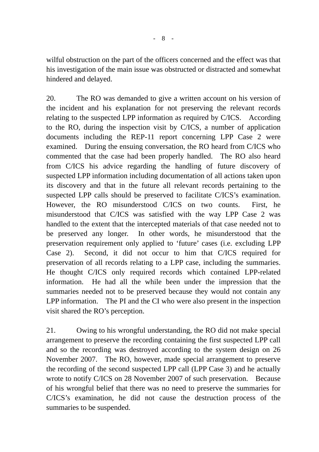wilful obstruction on the part of the officers concerned and the effect was that his investigation of the main issue was obstructed or distracted and somewhat hindered and delayed.

20. The RO was demanded to give a written account on his version of the incident and his explanation for not preserving the relevant records relating to the suspected LPP information as required by C/ICS. According to the RO, during the inspection visit by C/ICS, a number of application documents including the REP-11 report concerning LPP Case 2 were examined. During the ensuing conversation, the RO heard from C/ICS who commented that the case had been properly handled. The RO also heard from C/ICS his advice regarding the handling of future discovery of suspected LPP information including documentation of all actions taken upon its discovery and that in the future all relevant records pertaining to the suspected LPP calls should be preserved to facilitate C/ICS's examination. However, the RO misunderstood C/ICS on two counts. First, he misunderstood that C/ICS was satisfied with the way LPP Case 2 was handled to the extent that the intercepted materials of that case needed not to be preserved any longer. In other words, he misunderstood that the preservation requirement only applied to 'future' cases (i.e. excluding LPP Case 2). Second, it did not occur to him that C/ICS required for preservation of all records relating to a LPP case, including the summaries. He thought C/ICS only required records which contained LPP-related information. He had all the while been under the impression that the summaries needed not to be preserved because they would not contain any LPP information. The PI and the CI who were also present in the inspection visit shared the RO's perception.

21. Owing to his wrongful understanding, the RO did not make special arrangement to preserve the recording containing the first suspected LPP call and so the recording was destroyed according to the system design on 26 November 2007. The RO, however, made special arrangement to preserve the recording of the second suspected LPP call (LPP Case 3) and he actually wrote to notify C/ICS on 28 November 2007 of such preservation. Because of his wrongful belief that there was no need to preserve the summaries for C/ICS's examination, he did not cause the destruction process of the summaries to be suspended.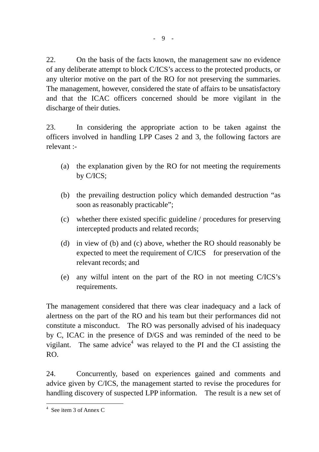22. On the basis of the facts known, the management saw no evidence of any deliberate attempt to block C/ICS's access to the protected products, or any ulterior motive on the part of the RO for not preserving the summaries. The management, however, considered the state of affairs to be unsatisfactory and that the ICAC officers concerned should be more vigilant in the discharge of their duties.

23. In considering the appropriate action to be taken against the officers involved in handling LPP Cases 2 and 3, the following factors are relevant :-

- (a) the explanation given by the RO for not meeting the requirements by C/ICS;
- (b) the prevailing destruction policy which demanded destruction "as soon as reasonably practicable";
- (c) whether there existed specific guideline / procedures for preserving intercepted products and related records;
- (d) in view of (b) and (c) above, whether the RO should reasonably be expected to meet the requirement of C/ICS for preservation of the relevant records; and
- (e) any wilful intent on the part of the RO in not meeting C/ICS's requirements.

The management considered that there was clear inadequacy and a lack of alertness on the part of the RO and his team but their performances did not constitute a misconduct. The RO was personally advised of his inadequacy by C, ICAC in the presence of D/GS and was reminded of the need to be vigilant. The same advice<sup>4</sup> was relayed to the PI and the CI assisting the RO.

24. Concurrently, based on experiences gained and comments and advice given by C/ICS, the management started to revise the procedures for handling discovery of suspected LPP information. The result is a new set of

 $\overline{a}$ 

<sup>4</sup> See item 3 of Annex C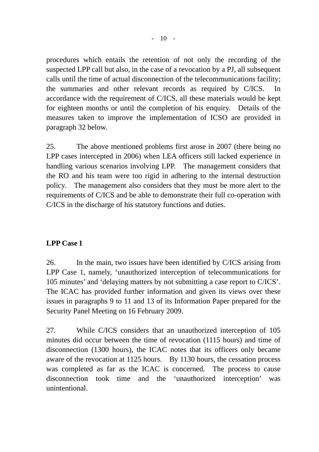$- 10 -$ 

procedures which entails the retention of not only the recording of the suspected LPP call but also, in the case of a revocation by a PJ, all subsequent calls until the time of actual disconnection of the telecommunications facility; the summaries and other relevant records as required by C/ICS. In accordance with the requirement of C/ICS, all these materials would be kept for eighteen months or until the completion of his enquiry. Details of the measures taken to improve the implementation of ICSO are provided in paragraph 32 below.

25. The above mentioned problems first arose in 2007 (there being no LPP cases intercepted in 2006) when LEA officers still lacked experience in handling various scenarios involving LPP. The management considers that the RO and his team were too rigid in adhering to the internal destruction policy. The management also considers that they must be more alert to the requirements of C/ICS and be able to demonstrate their full co-operation with C/ICS in the discharge of his statutory functions and duties.

## **LPP Case 1**

26. In the main, two issues have been identified by C/ICS arising from LPP Case 1, namely, 'unauthorized interception of telecommunications for 105 minutes' and 'delaying matters by not submitting a case report to C/ICS'. The ICAC has provided further information and given its views over these issues in paragraphs 9 to 11 and 13 of its Information Paper prepared for the Security Panel Meeting on 16 February 2009.

27. While C/ICS considers that an unauthorized interception of 105 minutes did occur between the time of revocation (1115 hours) and time of disconnection (1300 hours), the ICAC notes that its officers only became aware of the revocation at 1125 hours. By 1130 hours, the cessation process was completed as far as the ICAC is concerned. The process to cause disconnection took time and the 'unauthorized interception' was unintentional.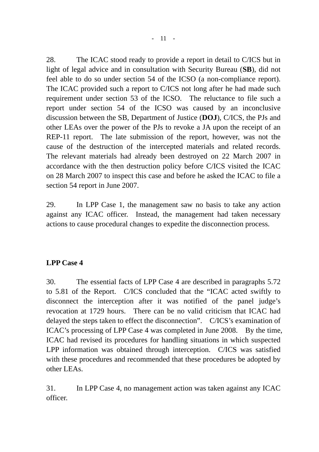28. The ICAC stood ready to provide a report in detail to C/ICS but in light of legal advice and in consultation with Security Bureau (**SB**), did not feel able to do so under section 54 of the ICSO (a non-compliance report). The ICAC provided such a report to C/ICS not long after he had made such requirement under section 53 of the ICSO. The reluctance to file such a report under section 54 of the ICSO was caused by an inconclusive discussion between the SB, Department of Justice (**DOJ**), C/ICS, the PJs and other LEAs over the power of the PJs to revoke a JA upon the receipt of an REP-11 report. The late submission of the report, however, was not the cause of the destruction of the intercepted materials and related records. The relevant materials had already been destroyed on 22 March 2007 in accordance with the then destruction policy before C/ICS visited the ICAC on 28 March 2007 to inspect this case and before he asked the ICAC to file a section 54 report in June 2007.

29. In LPP Case 1, the management saw no basis to take any action against any ICAC officer. Instead, the management had taken necessary actions to cause procedural changes to expedite the disconnection process.

## **LPP Case 4**

30. The essential facts of LPP Case 4 are described in paragraphs 5.72 to 5.81 of the Report. C/ICS concluded that the "ICAC acted swiftly to disconnect the interception after it was notified of the panel judge's revocation at 1729 hours. There can be no valid criticism that ICAC had delayed the steps taken to effect the disconnection". C/ICS's examination of ICAC's processing of LPP Case 4 was completed in June 2008. By the time, ICAC had revised its procedures for handling situations in which suspected LPP information was obtained through interception. C/ICS was satisfied with these procedures and recommended that these procedures be adopted by other LEAs.

31. In LPP Case 4, no management action was taken against any ICAC officer.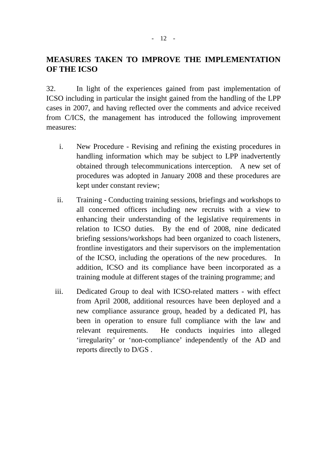# **MEASURES TAKEN TO IMPROVE THE IMPLEMENTATION OF THE ICSO**

32. In light of the experiences gained from past implementation of ICSO including in particular the insight gained from the handling of the LPP cases in 2007, and having reflected over the comments and advice received from C/ICS, the management has introduced the following improvement measures:

- i. New Procedure Revising and refining the existing procedures in handling information which may be subject to LPP inadvertently obtained through telecommunications interception. A new set of procedures was adopted in January 2008 and these procedures are kept under constant review;
- ii. Training Conducting training sessions, briefings and workshops to all concerned officers including new recruits with a view to enhancing their understanding of the legislative requirements in relation to ICSO duties. By the end of 2008, nine dedicated briefing sessions/workshops had been organized to coach listeners, frontline investigators and their supervisors on the implementation of the ICSO, including the operations of the new procedures. In addition, ICSO and its compliance have been incorporated as a training module at different stages of the training programme; and
- iii. Dedicated Group to deal with ICSO-related matters with effect from April 2008, additional resources have been deployed and a new compliance assurance group, headed by a dedicated PI, has been in operation to ensure full compliance with the law and relevant requirements. He conducts inquiries into alleged 'irregularity' or 'non-compliance' independently of the AD and reports directly to D/GS .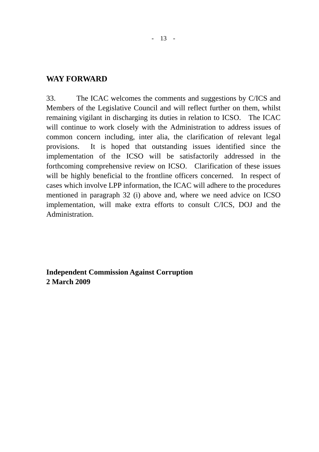#### **WAY FORWARD**

33. The ICAC welcomes the comments and suggestions by C/ICS and Members of the Legislative Council and will reflect further on them, whilst remaining vigilant in discharging its duties in relation to ICSO. The ICAC will continue to work closely with the Administration to address issues of common concern including, inter alia, the clarification of relevant legal provisions. It is hoped that outstanding issues identified since the implementation of the ICSO will be satisfactorily addressed in the forthcoming comprehensive review on ICSO. Clarification of these issues will be highly beneficial to the frontline officers concerned. In respect of cases which involve LPP information, the ICAC will adhere to the procedures mentioned in paragraph 32 (i) above and, where we need advice on ICSO implementation, will make extra efforts to consult C/ICS, DOJ and the Administration.

**Independent Commission Against Corruption 2 March 2009**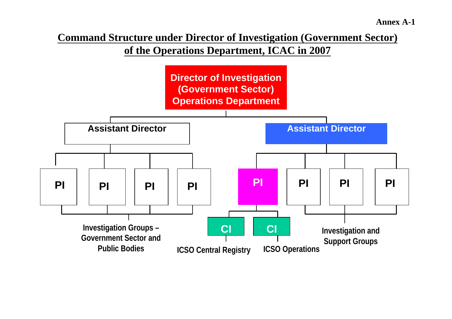**Command Structure under Director of Investigation (Government Sector) of the Operations Department, ICAC in 2007**

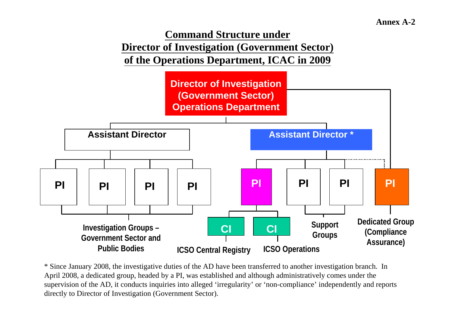

\* Since January 2008, the investigative duties of the AD have been transferred to another investigation branch. In April 2008, a dedicated group, headed by a PI, was established and although administratively comes under the supervision of the AD, it conducts inquiries into alleged 'irregularity' or 'non-compliance' independently and reports directly to Director of Investigation (Government Sector).

**ICSO Operations**

**ICSO Central Registry**

**Public Bodies**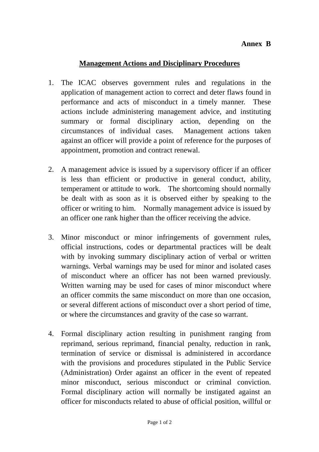#### **Management Actions and Disciplinary Procedures**

- 1. The ICAC observes government rules and regulations in the application of management action to correct and deter flaws found in performance and acts of misconduct in a timely manner. These actions include administering management advice, and instituting summary or formal disciplinary action, depending on the circumstances of individual cases. Management actions taken against an officer will provide a point of reference for the purposes of appointment, promotion and contract renewal.
- 2. A management advice is issued by a supervisory officer if an officer is less than efficient or productive in general conduct, ability, temperament or attitude to work. The shortcoming should normally be dealt with as soon as it is observed either by speaking to the officer or writing to him. Normally management advice is issued by an officer one rank higher than the officer receiving the advice.
- 3. Minor misconduct or minor infringements of government rules, official instructions, codes or departmental practices will be dealt with by invoking summary disciplinary action of verbal or written warnings. Verbal warnings may be used for minor and isolated cases of misconduct where an officer has not been warned previously. Written warning may be used for cases of minor misconduct where an officer commits the same misconduct on more than one occasion, or several different actions of misconduct over a short period of time, or where the circumstances and gravity of the case so warrant.
- 4. Formal disciplinary action resulting in punishment ranging from reprimand, serious reprimand, financial penalty, reduction in rank, termination of service or dismissal is administered in accordance with the provisions and procedures stipulated in the Public Service (Administration) Order against an officer in the event of repeated minor misconduct, serious misconduct or criminal conviction. Formal disciplinary action will normally be instigated against an officer for misconducts related to abuse of official position, willful or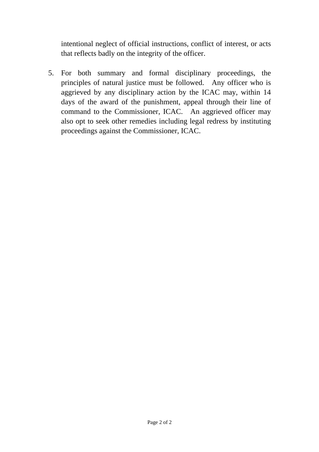intentional neglect of official instructions, conflict of interest, or acts that reflects badly on the integrity of the officer.

5. For both summary and formal disciplinary proceedings, the principles of natural justice must be followed. Any officer who is aggrieved by any disciplinary action by the ICAC may, within 14 days of the award of the punishment, appeal through their line of command to the Commissioner, ICAC. An aggrieved officer may also opt to seek other remedies including legal redress by instituting proceedings against the Commissioner, ICAC.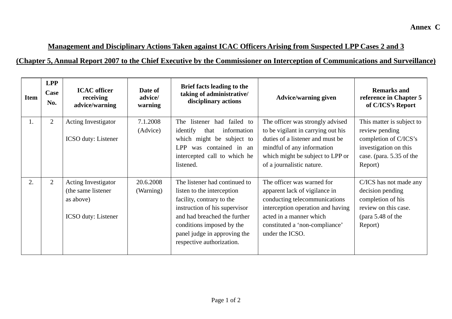# **Management and Disciplinary Actions Taken against ICAC Officers Arising from Suspected LPP Cases 2 and 3**

## **(Chapter 5, Annual Report 2007 to the Chief Executive by the Commissioner on Interception of Communications and Surveillance)**

| <b>Item</b> | <b>LPP</b><br>Case<br>No. | <b>ICAC</b> officer<br>receiving<br>advice/warning                                           | Date of<br>advice/<br>warning | Brief facts leading to the<br>taking of administrative/<br>disciplinary actions                                                                                                                                                                     | <b>Advice/warning given</b>                                                                                                                                                                                       | <b>Remarks and</b><br>reference in Chapter 5<br>of C/ICS's Report                                                                    |
|-------------|---------------------------|----------------------------------------------------------------------------------------------|-------------------------------|-----------------------------------------------------------------------------------------------------------------------------------------------------------------------------------------------------------------------------------------------------|-------------------------------------------------------------------------------------------------------------------------------------------------------------------------------------------------------------------|--------------------------------------------------------------------------------------------------------------------------------------|
| 1.          | $\overline{2}$            | Acting Investigator<br><b>ICSO</b> duty: Listener                                            | 7.1.2008<br>(Advice)          | failed to<br>listener had<br>The<br>identify<br>information<br>that<br>which might be subject to<br>LPP<br>was contained in an<br>intercepted call to which he<br>listened.                                                                         | The officer was strongly advised<br>to be vigilant in carrying out his<br>duties of a listener and must be<br>mindful of any information<br>which might be subject to LPP or<br>of a journalistic nature.         | This matter is subject to<br>review pending<br>completion of C/ICS's<br>investigation on this<br>case. (para. 5.35 of the<br>Report) |
| 2.          | $\overline{2}$            | <b>Acting Investigator</b><br>(the same listener)<br>as above)<br><b>ICSO</b> duty: Listener | 20.6.2008<br>(Warning)        | The listener had continued to<br>listen to the interception<br>facility, contrary to the<br>instruction of his supervisor<br>and had breached the further<br>conditions imposed by the<br>panel judge in approving the<br>respective authorization. | The officer was warned for<br>apparent lack of vigilance in<br>conducting telecommunications<br>interception operation and having<br>acted in a manner which<br>constituted a 'non-compliance'<br>under the ICSO. | C/ICS has not made any<br>decision pending<br>completion of his<br>review on this case.<br>$para\ 5.48\ of\ the$<br>Report)          |